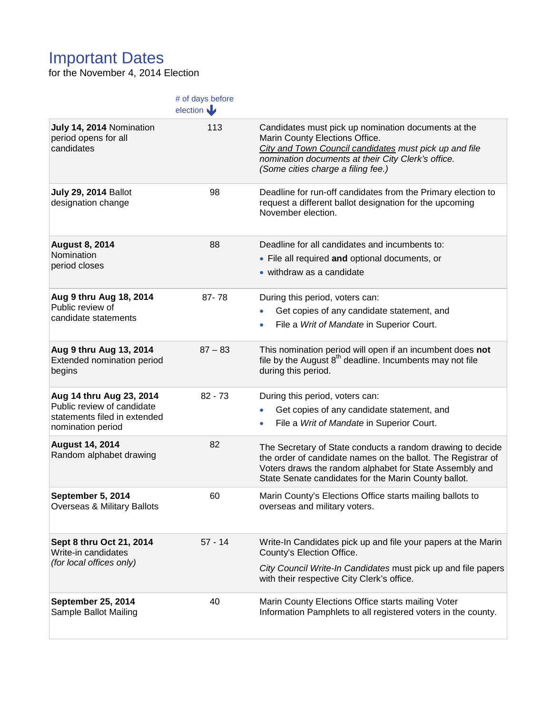## Important Dates

for the November 4, 2014 Election

|                                                                             | # of days before<br>election |                                                                                                                                                                                                                                               |
|-----------------------------------------------------------------------------|------------------------------|-----------------------------------------------------------------------------------------------------------------------------------------------------------------------------------------------------------------------------------------------|
| July 14, 2014 Nomination<br>period opens for all<br>candidates              | 113                          | Candidates must pick up nomination documents at the<br>Marin County Elections Office.<br>City and Town Council candidates must pick up and file<br>nomination documents at their City Clerk's office.<br>(Some cities charge a filing fee.)   |
| <b>July 29, 2014 Ballot</b><br>designation change                           | 98                           | Deadline for run-off candidates from the Primary election to<br>request a different ballot designation for the upcoming<br>November election.                                                                                                 |
| <b>August 8, 2014</b><br>Nomination<br>period closes                        | 88                           | Deadline for all candidates and incumbents to:                                                                                                                                                                                                |
|                                                                             |                              | • File all required and optional documents, or                                                                                                                                                                                                |
|                                                                             |                              | • withdraw as a candidate                                                                                                                                                                                                                     |
| Aug 9 thru Aug 18, 2014                                                     | 87-78                        | During this period, voters can:                                                                                                                                                                                                               |
| Public review of<br>candidate statements                                    |                              | Get copies of any candidate statement, and                                                                                                                                                                                                    |
|                                                                             |                              | File a Writ of Mandate in Superior Court.                                                                                                                                                                                                     |
| Aug 9 thru Aug 13, 2014<br>Extended nomination period<br>begins             | $87 - 83$                    | This nomination period will open if an incumbent does not<br>file by the August $8th$ deadline. Incumbents may not file<br>during this period.                                                                                                |
| Aug 14 thru Aug 23, 2014                                                    | $82 - 73$                    | During this period, voters can:                                                                                                                                                                                                               |
| Public review of candidate<br>statements filed in extended                  |                              | Get copies of any candidate statement, and<br>$\bullet$                                                                                                                                                                                       |
| nomination period                                                           |                              | File a Writ of Mandate in Superior Court.                                                                                                                                                                                                     |
| <b>August 14, 2014</b><br>Random alphabet drawing                           | 82                           | The Secretary of State conducts a random drawing to decide<br>the order of candidate names on the ballot. The Registrar of<br>Voters draws the random alphabet for State Assembly and<br>State Senate candidates for the Marin County ballot. |
| September 5, 2014<br>Overseas & Military Ballots                            | 60                           | Marin County's Elections Office starts mailing ballots to<br>overseas and military voters.                                                                                                                                                    |
| Sept 8 thru Oct 21, 2014<br>Write-in candidates<br>(for local offices only) | $57 - 14$                    | Write-In Candidates pick up and file your papers at the Marin<br>County's Election Office.                                                                                                                                                    |
|                                                                             |                              | City Council Write-In Candidates must pick up and file papers<br>with their respective City Clerk's office.                                                                                                                                   |
| <b>September 25, 2014</b><br>Sample Ballot Mailing                          | 40                           | Marin County Elections Office starts mailing Voter<br>Information Pamphlets to all registered voters in the county.                                                                                                                           |